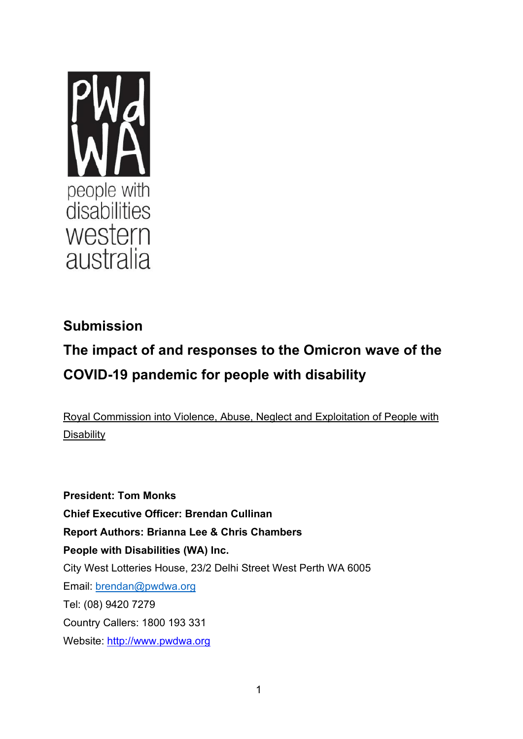

# **Submission**

# **The impact of and responses to the Omicron wave of the COVID-19 pandemic for people with disability**

Royal Commission into Violence, Abuse, Neglect and Exploitation of People with **Disability** 

**President: Tom Monks Chief Executive Officer: Brendan Cullinan Report Authors: Brianna Lee & Chris Chambers People with Disabilities (WA) Inc.** City West Lotteries House, 23/2 Delhi Street West Perth WA 6005 Email: [brendan@pwdwa.org](mailto:brendan@pwdwa.org) Tel: (08) 9420 7279 Country Callers: 1800 193 331 Website: [http://www.pwdwa.org](http://www.pwdwa.org/)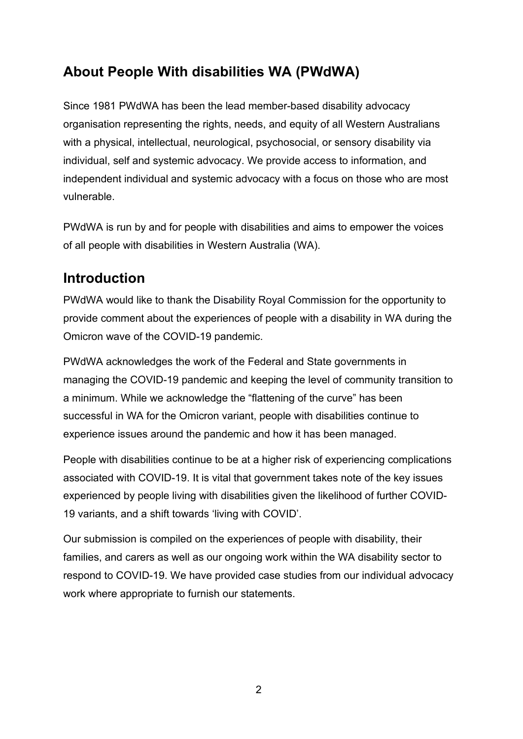# **About People With disabilities WA (PWdWA)**

Since 1981 PWdWA has been the lead member-based disability advocacy organisation representing the rights, needs, and equity of all Western Australians with a physical, intellectual, neurological, psychosocial, or sensory disability via individual, self and systemic advocacy. We provide access to information, and independent individual and systemic advocacy with a focus on those who are most vulnerable.

PWdWA is run by and for people with disabilities and aims to empower the voices of all people with disabilities in Western Australia (WA).

## **Introduction**

PWdWA would like to thank the Disability Royal Commission for the opportunity to provide comment about the experiences of people with a disability in WA during the Omicron wave of the COVID-19 pandemic.

PWdWA acknowledges the work of the Federal and State governments in managing the COVID-19 pandemic and keeping the level of community transition to a minimum. While we acknowledge the "flattening of the curve" has been successful in WA for the Omicron variant, people with disabilities continue to experience issues around the pandemic and how it has been managed.

People with disabilities continue to be at a higher risk of experiencing complications associated with COVID-19. It is vital that government takes note of the key issues experienced by people living with disabilities given the likelihood of further COVID-19 variants, and a shift towards 'living with COVID'.

Our submission is compiled on the experiences of people with disability, their families, and carers as well as our ongoing work within the WA disability sector to respond to COVID-19. We have provided case studies from our individual advocacy work where appropriate to furnish our statements.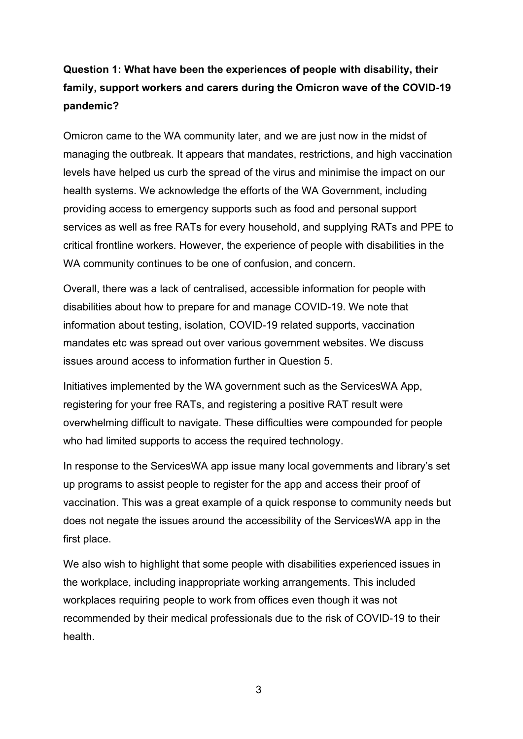### **Question 1: What have been the experiences of people with disability, their family, support workers and carers during the Omicron wave of the COVID-19 pandemic?**

Omicron came to the WA community later, and we are just now in the midst of managing the outbreak. It appears that mandates, restrictions, and high vaccination levels have helped us curb the spread of the virus and minimise the impact on our health systems. We acknowledge the efforts of the WA Government, including providing access to emergency supports such as food and personal support services as well as free RATs for every household, and supplying RATs and PPE to critical frontline workers. However, the experience of people with disabilities in the WA community continues to be one of confusion, and concern.

Overall, there was a lack of centralised, accessible information for people with disabilities about how to prepare for and manage COVID-19. We note that information about testing, isolation, COVID-19 related supports, vaccination mandates etc was spread out over various government websites. We discuss issues around access to information further in Question 5.

Initiatives implemented by the WA government such as the ServicesWA App, registering for your free RATs, and registering a positive RAT result were overwhelming difficult to navigate. These difficulties were compounded for people who had limited supports to access the required technology.

In response to the ServicesWA app issue many local governments and library's set up programs to assist people to register for the app and access their proof of vaccination. This was a great example of a quick response to community needs but does not negate the issues around the accessibility of the ServicesWA app in the first place.

We also wish to highlight that some people with disabilities experienced issues in the workplace, including inappropriate working arrangements. This included workplaces requiring people to work from offices even though it was not recommended by their medical professionals due to the risk of COVID-19 to their health.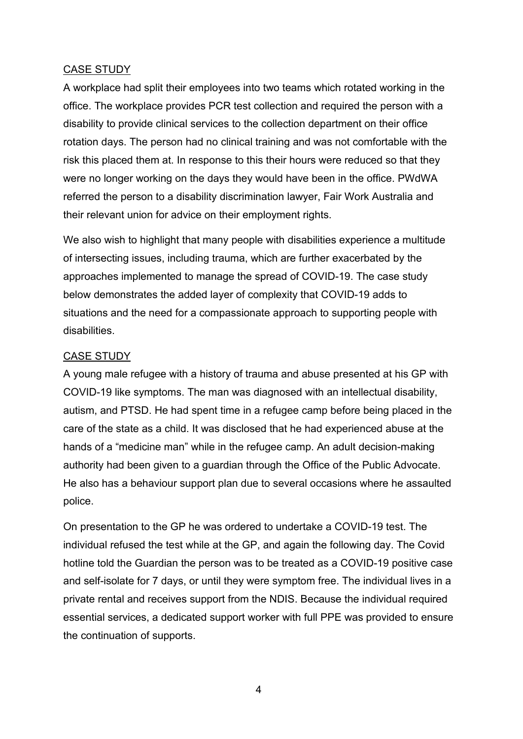#### CASE STUDY

A workplace had split their employees into two teams which rotated working in the office. The workplace provides PCR test collection and required the person with a disability to provide clinical services to the collection department on their office rotation days. The person had no clinical training and was not comfortable with the risk this placed them at. In response to this their hours were reduced so that they were no longer working on the days they would have been in the office. PWdWA referred the person to a disability discrimination lawyer, Fair Work Australia and their relevant union for advice on their employment rights.

We also wish to highlight that many people with disabilities experience a multitude of intersecting issues, including trauma, which are further exacerbated by the approaches implemented to manage the spread of COVID-19. The case study below demonstrates the added layer of complexity that COVID-19 adds to situations and the need for a compassionate approach to supporting people with disabilities.

#### CASE STUDY

A young male refugee with a history of trauma and abuse presented at his GP with COVID-19 like symptoms. The man was diagnosed with an intellectual disability, autism, and PTSD. He had spent time in a refugee camp before being placed in the care of the state as a child. It was disclosed that he had experienced abuse at the hands of a "medicine man" while in the refugee camp. An adult decision-making authority had been given to a guardian through the Office of the Public Advocate. He also has a behaviour support plan due to several occasions where he assaulted police.

On presentation to the GP he was ordered to undertake a COVID-19 test. The individual refused the test while at the GP, and again the following day. The Covid hotline told the Guardian the person was to be treated as a COVID-19 positive case and self-isolate for 7 days, or until they were symptom free. The individual lives in a private rental and receives support from the NDIS. Because the individual required essential services, a dedicated support worker with full PPE was provided to ensure the continuation of supports.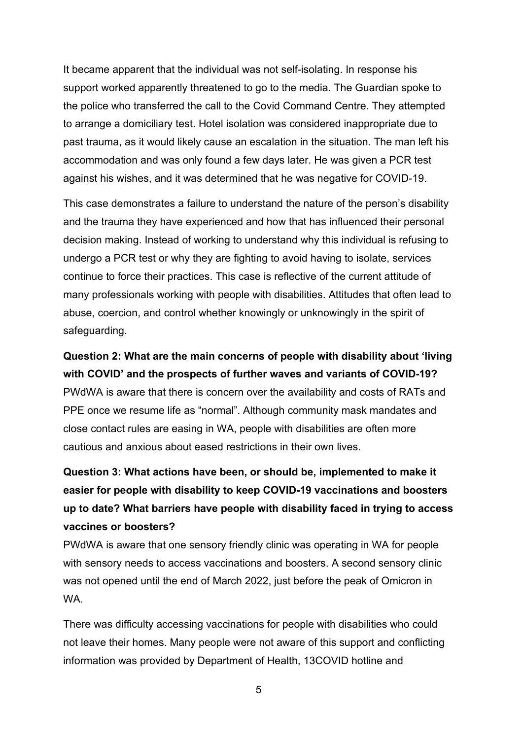It became apparent that the individual was not self-isolating. In response his support worked apparently threatened to go to the media. The Guardian spoke to the police who transferred the call to the Covid Command Centre. They attempted to arrange a domiciliary test. Hotel isolation was considered inappropriate due to past trauma, as it would likely cause an escalation in the situation. The man left his accommodation and was only found a few days later. He was given a PCR test against his wishes, and it was determined that he was negative for COVID-19.

This case demonstrates a failure to understand the nature of the person's disability and the trauma they have experienced and how that has influenced their personal decision making. Instead of working to understand why this individual is refusing to undergo a PCR test or why they are fighting to avoid having to isolate, services continue to force their practices. This case is reflective of the current attitude of many professionals working with people with disabilities. Attitudes that often lead to abuse, coercion, and control whether knowingly or unknowingly in the spirit of safeguarding.

**Question 2: What are the main concerns of people with disability about 'living with COVID' and the prospects of further waves and variants of COVID-19?** PWdWA is aware that there is concern over the availability and costs of RATs and PPE once we resume life as "normal". Although community mask mandates and close contact rules are easing in WA, people with disabilities are often more cautious and anxious about eased restrictions in their own lives.

**Question 3: What actions have been, or should be, implemented to make it easier for people with disability to keep COVID-19 vaccinations and boosters up to date? What barriers have people with disability faced in trying to access vaccines or boosters?**

PWdWA is aware that one sensory friendly clinic was operating in WA for people with sensory needs to access vaccinations and boosters. A second sensory clinic was not opened until the end of March 2022, just before the peak of Omicron in WA.

There was difficulty accessing vaccinations for people with disabilities who could not leave their homes. Many people were not aware of this support and conflicting information was provided by Department of Health, 13COVID hotline and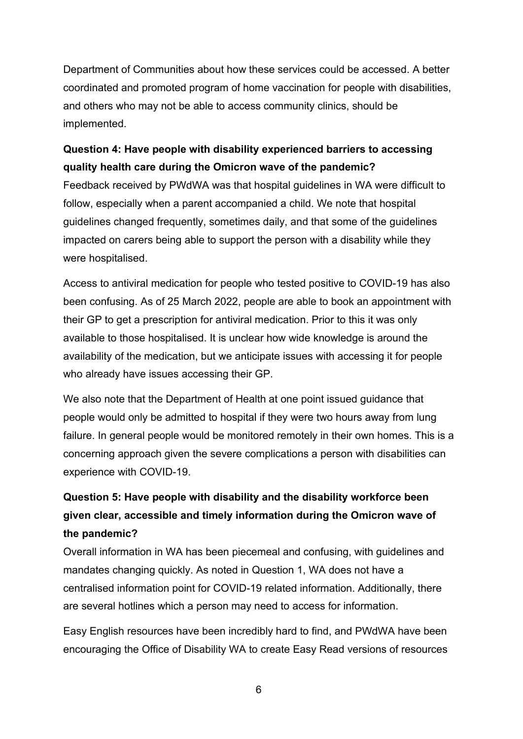Department of Communities about how these services could be accessed. A better coordinated and promoted program of home vaccination for people with disabilities, and others who may not be able to access community clinics, should be implemented.

#### **Question 4: Have people with disability experienced barriers to accessing quality health care during the Omicron wave of the pandemic?**

Feedback received by PWdWA was that hospital guidelines in WA were difficult to follow, especially when a parent accompanied a child. We note that hospital guidelines changed frequently, sometimes daily, and that some of the guidelines impacted on carers being able to support the person with a disability while they were hospitalised.

Access to antiviral medication for people who tested positive to COVID-19 has also been confusing. As of 25 March 2022, people are able to book an appointment with their GP to get a prescription for antiviral medication. Prior to this it was only available to those hospitalised. It is unclear how wide knowledge is around the availability of the medication, but we anticipate issues with accessing it for people who already have issues accessing their GP.

We also note that the Department of Health at one point issued guidance that people would only be admitted to hospital if they were two hours away from lung failure. In general people would be monitored remotely in their own homes. This is a concerning approach given the severe complications a person with disabilities can experience with COVID-19.

### **Question 5: Have people with disability and the disability workforce been given clear, accessible and timely information during the Omicron wave of the pandemic?**

Overall information in WA has been piecemeal and confusing, with guidelines and mandates changing quickly. As noted in Question 1, WA does not have a centralised information point for COVID-19 related information. Additionally, there are several hotlines which a person may need to access for information.

Easy English resources have been incredibly hard to find, and PWdWA have been encouraging the Office of Disability WA to create Easy Read versions of resources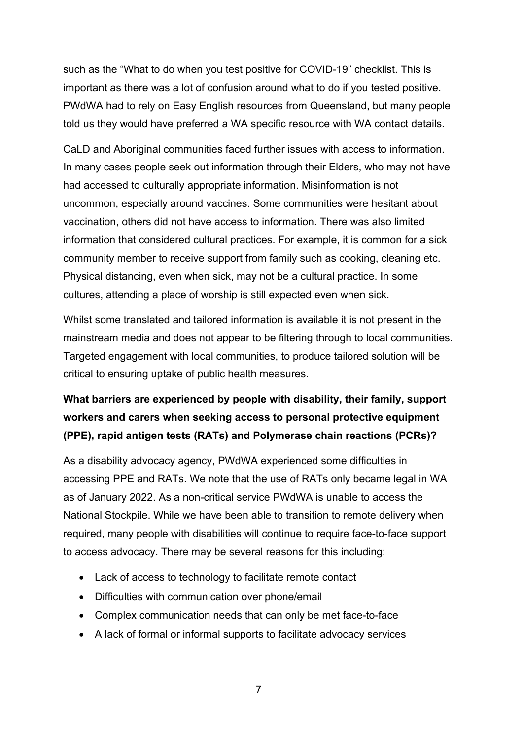such as the "What to do when you test positive for COVID-19" checklist. This is important as there was a lot of confusion around what to do if you tested positive. PWdWA had to rely on Easy English resources from Queensland, but many people told us they would have preferred a WA specific resource with WA contact details.

CaLD and Aboriginal communities faced further issues with access to information. In many cases people seek out information through their Elders, who may not have had accessed to culturally appropriate information. Misinformation is not uncommon, especially around vaccines. Some communities were hesitant about vaccination, others did not have access to information. There was also limited information that considered cultural practices. For example, it is common for a sick community member to receive support from family such as cooking, cleaning etc. Physical distancing, even when sick, may not be a cultural practice. In some cultures, attending a place of worship is still expected even when sick.

Whilst some translated and tailored information is available it is not present in the mainstream media and does not appear to be filtering through to local communities. Targeted engagement with local communities, to produce tailored solution will be critical to ensuring uptake of public health measures.

### **What barriers are experienced by people with disability, their family, support workers and carers when seeking access to personal protective equipment (PPE), rapid antigen tests (RATs) and Polymerase chain reactions (PCRs)?**

As a disability advocacy agency, PWdWA experienced some difficulties in accessing PPE and RATs. We note that the use of RATs only became legal in WA as of January 2022. As a non-critical service PWdWA is unable to access the National Stockpile. While we have been able to transition to remote delivery when required, many people with disabilities will continue to require face-to-face support to access advocacy. There may be several reasons for this including:

- Lack of access to technology to facilitate remote contact
- Difficulties with communication over phone/email
- Complex communication needs that can only be met face-to-face
- A lack of formal or informal supports to facilitate advocacy services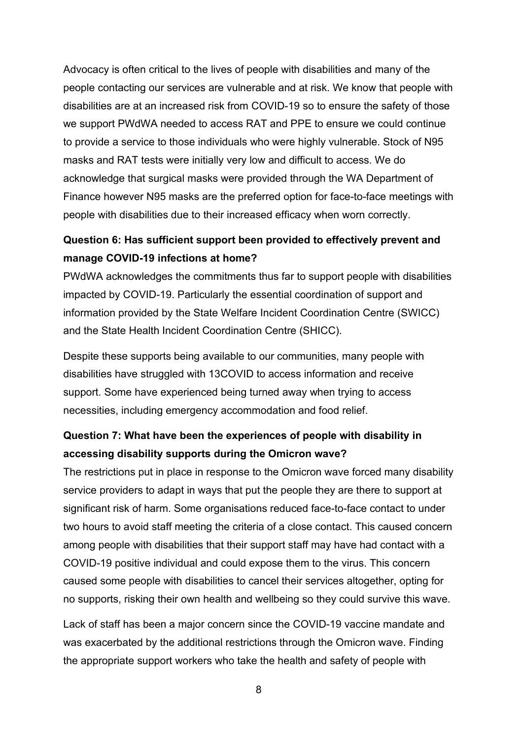Advocacy is often critical to the lives of people with disabilities and many of the people contacting our services are vulnerable and at risk. We know that people with disabilities are at an increased risk from COVID-19 so to ensure the safety of those we support PWdWA needed to access RAT and PPE to ensure we could continue to provide a service to those individuals who were highly vulnerable. Stock of N95 masks and RAT tests were initially very low and difficult to access. We do acknowledge that surgical masks were provided through the WA Department of Finance however N95 masks are the preferred option for face-to-face meetings with people with disabilities due to their increased efficacy when worn correctly.

#### **Question 6: Has sufficient support been provided to effectively prevent and manage COVID-19 infections at home?**

PWdWA acknowledges the commitments thus far to support people with disabilities impacted by COVID-19. Particularly the essential coordination of support and information provided by the State Welfare Incident Coordination Centre (SWICC) and the State Health Incident Coordination Centre (SHICC).

Despite these supports being available to our communities, many people with disabilities have struggled with 13COVID to access information and receive support. Some have experienced being turned away when trying to access necessities, including emergency accommodation and food relief.

#### **Question 7: What have been the experiences of people with disability in accessing disability supports during the Omicron wave?**

The restrictions put in place in response to the Omicron wave forced many disability service providers to adapt in ways that put the people they are there to support at significant risk of harm. Some organisations reduced face-to-face contact to under two hours to avoid staff meeting the criteria of a close contact. This caused concern among people with disabilities that their support staff may have had contact with a COVID-19 positive individual and could expose them to the virus. This concern caused some people with disabilities to cancel their services altogether, opting for no supports, risking their own health and wellbeing so they could survive this wave.

Lack of staff has been a major concern since the COVID-19 vaccine mandate and was exacerbated by the additional restrictions through the Omicron wave. Finding the appropriate support workers who take the health and safety of people with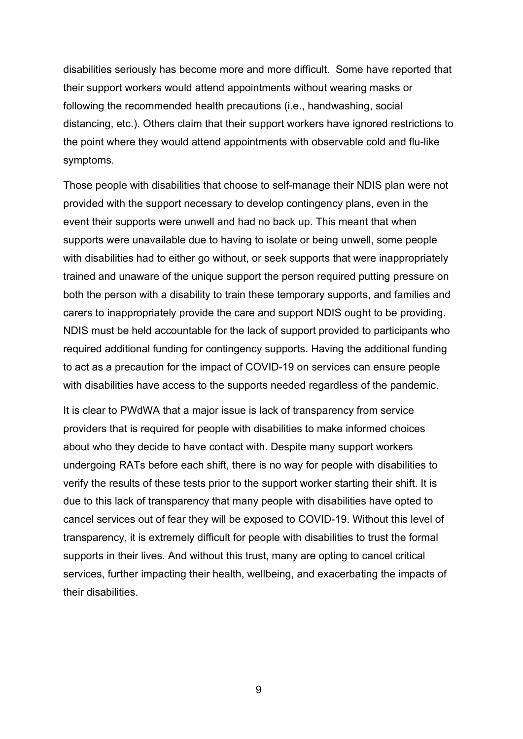disabilities seriously has become more and more difficult. Some have reported that their support workers would attend appointments without wearing masks or following the recommended health precautions (i.e., handwashing, social distancing, etc.). Others claim that their support workers have ignored restrictions to the point where they would attend appointments with observable cold and flu-like symptoms.

Those people with disabilities that choose to self-manage their NDIS plan were not provided with the support necessary to develop contingency plans, even in the event their supports were unwell and had no back up. This meant that when supports were unavailable due to having to isolate or being unwell, some people with disabilities had to either go without, or seek supports that were inappropriately trained and unaware of the unique support the person required putting pressure on both the person with a disability to train these temporary supports, and families and carers to inappropriately provide the care and support NDIS ought to be providing. NDIS must be held accountable for the lack of support provided to participants who required additional funding for contingency supports. Having the additional funding to act as a precaution for the impact of COVID-19 on services can ensure people with disabilities have access to the supports needed regardless of the pandemic.

It is clear to PWdWA that a major issue is lack of transparency from service providers that is required for people with disabilities to make informed choices about who they decide to have contact with. Despite many support workers undergoing RATs before each shift, there is no way for people with disabilities to verify the results of these tests prior to the support worker starting their shift. It is due to this lack of transparency that many people with disabilities have opted to cancel services out of fear they will be exposed to COVID-19. Without this level of transparency, it is extremely difficult for people with disabilities to trust the formal supports in their lives. And without this trust, many are opting to cancel critical services, further impacting their health, wellbeing, and exacerbating the impacts of their disabilities.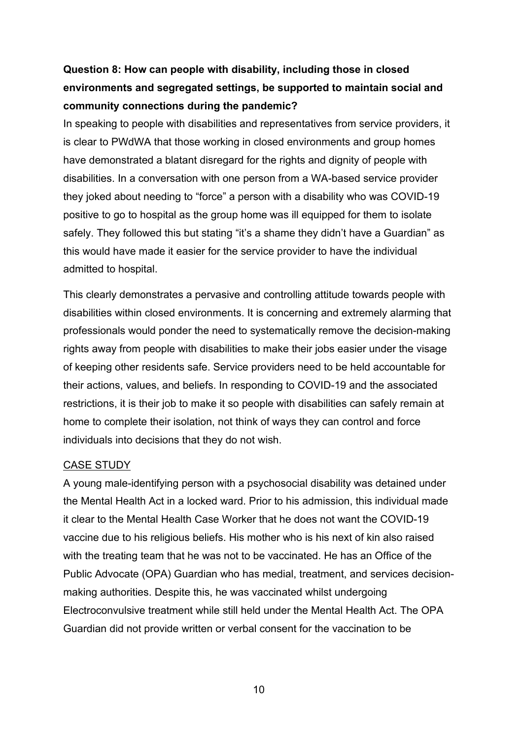### **Question 8: How can people with disability, including those in closed environments and segregated settings, be supported to maintain social and community connections during the pandemic?**

In speaking to people with disabilities and representatives from service providers, it is clear to PWdWA that those working in closed environments and group homes have demonstrated a blatant disregard for the rights and dignity of people with disabilities. In a conversation with one person from a WA-based service provider they joked about needing to "force" a person with a disability who was COVID-19 positive to go to hospital as the group home was ill equipped for them to isolate safely. They followed this but stating "it's a shame they didn't have a Guardian" as this would have made it easier for the service provider to have the individual admitted to hospital.

This clearly demonstrates a pervasive and controlling attitude towards people with disabilities within closed environments. It is concerning and extremely alarming that professionals would ponder the need to systematically remove the decision-making rights away from people with disabilities to make their jobs easier under the visage of keeping other residents safe. Service providers need to be held accountable for their actions, values, and beliefs. In responding to COVID-19 and the associated restrictions, it is their job to make it so people with disabilities can safely remain at home to complete their isolation, not think of ways they can control and force individuals into decisions that they do not wish.

#### CASE STUDY

A young male-identifying person with a psychosocial disability was detained under the Mental Health Act in a locked ward. Prior to his admission, this individual made it clear to the Mental Health Case Worker that he does not want the COVID-19 vaccine due to his religious beliefs. His mother who is his next of kin also raised with the treating team that he was not to be vaccinated. He has an Office of the Public Advocate (OPA) Guardian who has medial, treatment, and services decisionmaking authorities. Despite this, he was vaccinated whilst undergoing Electroconvulsive treatment while still held under the Mental Health Act. The OPA Guardian did not provide written or verbal consent for the vaccination to be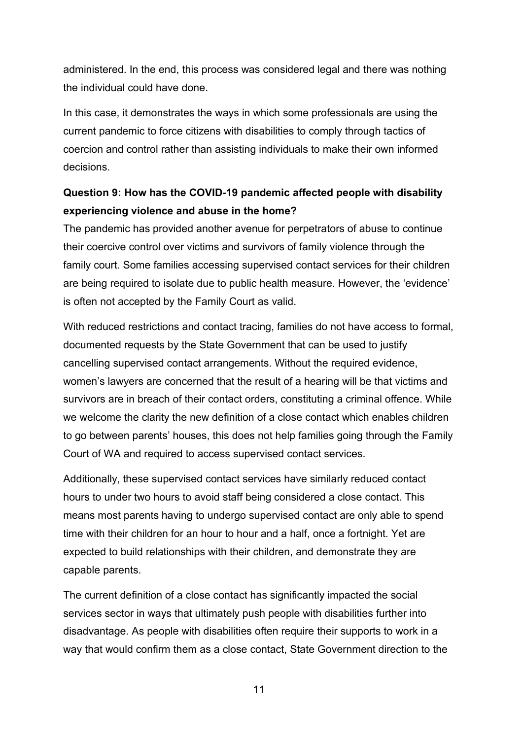administered. In the end, this process was considered legal and there was nothing the individual could have done.

In this case, it demonstrates the ways in which some professionals are using the current pandemic to force citizens with disabilities to comply through tactics of coercion and control rather than assisting individuals to make their own informed decisions.

#### **Question 9: How has the COVID-19 pandemic affected people with disability experiencing violence and abuse in the home?**

The pandemic has provided another avenue for perpetrators of abuse to continue their coercive control over victims and survivors of family violence through the family court. Some families accessing supervised contact services for their children are being required to isolate due to public health measure. However, the 'evidence' is often not accepted by the Family Court as valid.

With reduced restrictions and contact tracing, families do not have access to formal, documented requests by the State Government that can be used to justify cancelling supervised contact arrangements. Without the required evidence, women's lawyers are concerned that the result of a hearing will be that victims and survivors are in breach of their contact orders, constituting a criminal offence. While we welcome the clarity the new definition of a close contact which enables children to go between parents' houses, this does not help families going through the Family Court of WA and required to access supervised contact services.

Additionally, these supervised contact services have similarly reduced contact hours to under two hours to avoid staff being considered a close contact. This means most parents having to undergo supervised contact are only able to spend time with their children for an hour to hour and a half, once a fortnight. Yet are expected to build relationships with their children, and demonstrate they are capable parents.

The current definition of a close contact has significantly impacted the social services sector in ways that ultimately push people with disabilities further into disadvantage. As people with disabilities often require their supports to work in a way that would confirm them as a close contact, State Government direction to the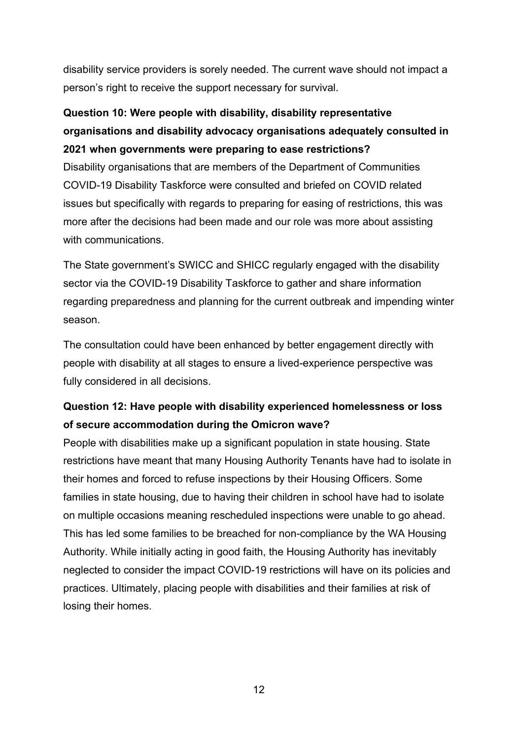disability service providers is sorely needed. The current wave should not impact a person's right to receive the support necessary for survival.

### **Question 10: Were people with disability, disability representative organisations and disability advocacy organisations adequately consulted in 2021 when governments were preparing to ease restrictions?**

Disability organisations that are members of the Department of Communities COVID-19 Disability Taskforce were consulted and briefed on COVID related issues but specifically with regards to preparing for easing of restrictions, this was more after the decisions had been made and our role was more about assisting with communications.

The State government's SWICC and SHICC regularly engaged with the disability sector via the COVID-19 Disability Taskforce to gather and share information regarding preparedness and planning for the current outbreak and impending winter season.

The consultation could have been enhanced by better engagement directly with people with disability at all stages to ensure a lived-experience perspective was fully considered in all decisions.

#### **Question 12: Have people with disability experienced homelessness or loss of secure accommodation during the Omicron wave?**

People with disabilities make up a significant population in state housing. State restrictions have meant that many Housing Authority Tenants have had to isolate in their homes and forced to refuse inspections by their Housing Officers. Some families in state housing, due to having their children in school have had to isolate on multiple occasions meaning rescheduled inspections were unable to go ahead. This has led some families to be breached for non-compliance by the WA Housing Authority. While initially acting in good faith, the Housing Authority has inevitably neglected to consider the impact COVID-19 restrictions will have on its policies and practices. Ultimately, placing people with disabilities and their families at risk of losing their homes.